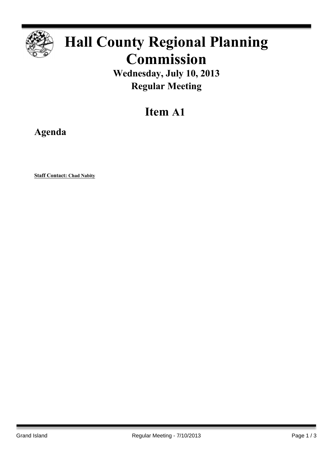

# **Hall County Regional Planning Commission**

**Wednesday, July 10, 2013 Regular Meeting**

# **Item A1**

**Agenda**

**Staff Contact: Chad Nabity**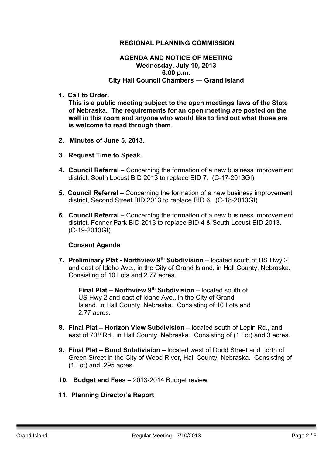#### **REGIONAL PLANNING COMMISSION**

#### **AGENDA AND NOTICE OF MEETING Wednesday, July 10, 2013 6:00 p.m. City Hall Council Chambers — Grand Island**

**1. Call to Order.**

**This is a public meeting subject to the open meetings laws of the State of Nebraska. The requirements for an open meeting are posted on the wall in this room and anyone who would like to find out what those are is welcome to read through them**.

- **2. Minutes of June 5, 2013.**
- **3. Request Time to Speak.**
- **4. Council Referral –** Concerning the formation of a new business improvement district, South Locust BID 2013 to replace BID 7. (C-17-2013GI)
- **5. Council Referral –** Concerning the formation of a new business improvement district, Second Street BID 2013 to replace BID 6. (C-18-2013GI)
- **6. Council Referral –** Concerning the formation of a new business improvement district, Fonner Park BID 2013 to replace BID 4 & South Locust BID 2013. (C-19-2013GI)

#### **Consent Agenda**

**7. Preliminary Plat - Northview 9 th Subdivision** – located south of US Hwy 2 and east of Idaho Ave., in the City of Grand Island, in Hall County, Nebraska. Consisting of 10 Lots and 2.77 acres.

**Final Plat – Northview 9 th Subdivision** – located south of US Hwy 2 and east of Idaho Ave., in the City of Grand Island, in Hall County, Nebraska. Consisting of 10 Lots and 2.77 acres.

- **8. Final Plat – Horizon View Subdivision** located south of Lepin Rd., and east of 70<sup>th</sup> Rd., in Hall County, Nebraska. Consisting of (1 Lot) and 3 acres.
- **9. Final Plat – Bond Subdivision** located west of Dodd Street and north of Green Street in the City of Wood River, Hall County, Nebraska. Consisting of (1 Lot) and .295 acres.
- **10. Budget and Fees –** 2013-2014 Budget review.
- **11. Planning Director's Report**